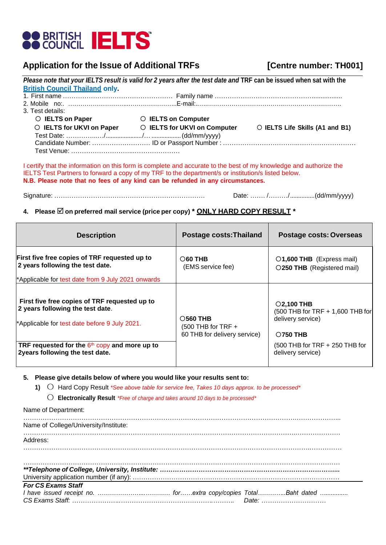

## **Application for the Issue of Additional TRFs [Centre number: TH001]**

|                                       | Please note that your IELTS result is valid for 2 years after the test date and TRF can be issued when sat with the |                                 |
|---------------------------------------|---------------------------------------------------------------------------------------------------------------------|---------------------------------|
| <b>British Council Thailand only.</b> |                                                                                                                     |                                 |
|                                       |                                                                                                                     |                                 |
|                                       |                                                                                                                     |                                 |
| 3. Test details:                      |                                                                                                                     |                                 |
| ○ IELTS on Paper                      | <b>C</b> IELTS on Computer                                                                                          |                                 |
|                                       | ○ IELTS for UKVI on Paper ○ IELTS for UKVI on Computer                                                              | O IELTS Life Skills (A1 and B1) |
|                                       |                                                                                                                     |                                 |
|                                       |                                                                                                                     |                                 |
|                                       |                                                                                                                     |                                 |
|                                       |                                                                                                                     |                                 |

I certify that the information on this form is complete and accurate to the best of my knowledge and authorize the IELTS Test Partners to forward a copy of my TRF to the department/s or institution/s listed below. **N.B. Please note that no fees of any kind can be refunded in any circumstances.**

Signature: ……………………………………………………………. Date: ……. /………/...............(dd/mm/yyyy)

## **4. Please on preferred mail service (price per copy) \* ONLY HARD COPY RESULT \***

| <b>Description</b>                                                                                                                 | <b>Postage costs: Thailand</b>                                               | Postage costs: Overseas                                                               |
|------------------------------------------------------------------------------------------------------------------------------------|------------------------------------------------------------------------------|---------------------------------------------------------------------------------------|
| First five free copies of TRF requested up to<br>2 years following the test date.                                                  | $\bigcirc$ 60 THB<br>(EMS service fee)                                       | O1,600 THB (Express mail)<br>O250 THB (Registered mail)                               |
| *Applicable for test date from 9 July 2021 onwards                                                                                 |                                                                              |                                                                                       |
| First five free copies of TRF requested up to<br>2 years following the test date.<br>*Applicable for test date before 9 July 2021. | $\bigcirc$ 560 THB<br>$(500$ THB for TRF $+$<br>60 THB for delivery service) | $O$ 2,100 THB<br>(500 THB for TRF + 1,600 THB for<br>delivery service)<br>$O$ 750 THB |
| TRF requested for the $6th$ copy and more up to<br>2years following the test date.                                                 |                                                                              | $(500$ THB for TRF $+ 250$ THB for<br>delivery service)                               |

**5. Please give details below of where you would like your results sent to:**

**1)** 〇 Hard Copy Result *\*See above table for service fee, Takes 10 days approx. to be processed\**

〇 **Electronically Result** *\*Free of charge and takes around 10 days to be processed\**

| Name of Department:                   |  |
|---------------------------------------|--|
| Name of College/University/Institute: |  |
| Address:                              |  |
|                                       |  |
|                                       |  |
| <b>For CS Exams Staff</b>             |  |
|                                       |  |
|                                       |  |